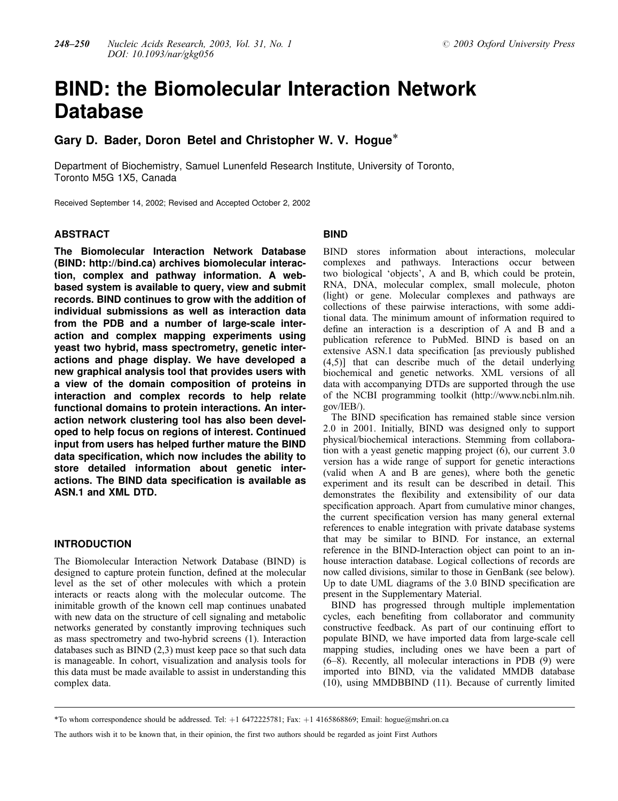# BIND: the Biomolecular Interaction Network Database

## Gary D. Bader, Doron Betel and Christopher W. V. Hogue\*

Department of Biochemistry, Samuel Lunenfeld Research Institute, University of Toronto, Toronto M5G 1X5, Canada

Received September 14, 2002; Revised and Accepted October 2, 2002

#### **ABSTRACT**

The Biomolecular Interaction Network Database (BIND:<http://bind.ca>) archives biomolecular interaction, complex and pathway information. A webbased system is available to query, view and submit records. BIND continues to grow with the addition of individual submissions as well as interaction data from the PDB and a number of large-scale interaction and complex mapping experiments using yeast two hybrid, mass spectrometry, genetic interactions and phage display. We have developed a new graphical analysis tool that provides users with a view of the domain composition of proteins in interaction and complex records to help relate functional domains to protein interactions. An interaction network clustering tool has also been developed to help focus on regions of interest. Continued input from users has helped further mature the BIND data specification, which now includes the ability to store detailed information about genetic interactions. The BIND data specification is available as ASN.1 and XML DTD.

### INTRODUCTION

The Biomolecular Interaction Network Database (BIND) is designed to capture protein function, defined at the molecular level as the set of other molecules with which a protein interacts or reacts along with the molecular outcome. The inimitable growth of the known cell map continues unabated with new data on the structure of cell signaling and metabolic networks generated by constantly improving techniques such as mass spectrometry and two-hybrid screens (1). Interaction databases such as BIND (2,3) must keep pace so that such data is manageable. In cohort, visualization and analysis tools for this data must be made available to assist in understanding this complex data.

#### BIND

BIND stores information about interactions, molecular complexes and pathways. Interactions occur between two biological 'objects', A and B, which could be protein, RNA, DNA, molecular complex, small molecule, photon (light) or gene. Molecular complexes and pathways are collections of these pairwise interactions, with some additional data. The minimum amount of information required to define an interaction is a description of A and B and a publication reference to PubMed. BIND is based on an extensive ASN.1 data specification [as previously published (4,5)] that can describe much of the detail underlying biochemical and genetic networks. XML versions of all data with accompanying DTDs are supported through the use of the NCBI programming toolkit [\(http://www.ncbi.nlm.nih.](http://www.ncbi.nlm.nih.<?show $ >gov/IEB/) [gov/IEB/](http://www.ncbi.nlm.nih.<?show $ >gov/IEB/)).

The BIND specification has remained stable since version 2.0 in 2001. Initially, BIND was designed only to support physical/biochemical interactions. Stemming from collaboration with a yeast genetic mapping project (6), our current 3.0 version has a wide range of support for genetic interactions (valid when A and B are genes), where both the genetic experiment and its result can be described in detail. This demonstrates the flexibility and extensibility of our data specification approach. Apart from cumulative minor changes, the current specification version has many general external references to enable integration with private database systems that may be similar to BIND. For instance, an external reference in the BIND-Interaction object can point to an inhouse interaction database. Logical collections of records are now called divisions, similar to those in GenBank (see below). Up to date UML diagrams of the 3.0 BIND specification are present in the Supplementary Material.

BIND has progressed through multiple implementation cycles, each benefiting from collaborator and community constructive feedback. As part of our continuing effort to populate BIND, we have imported data from large-scale cell mapping studies, including ones we have been a part of (6–8). Recently, all molecular interactions in PDB (9) were imported into BIND, via the validated MMDB database (10), using MMDBBIND (11). Because of currently limited

<sup>\*</sup>To whom correspondence should be addressed. Tel: þ1 6472225781; Fax: þ1 4165868869; Email: hogue@mshri.on.ca

The authors wish it to be known that, in their opinion, the first two authors should be regarded as joint First Authors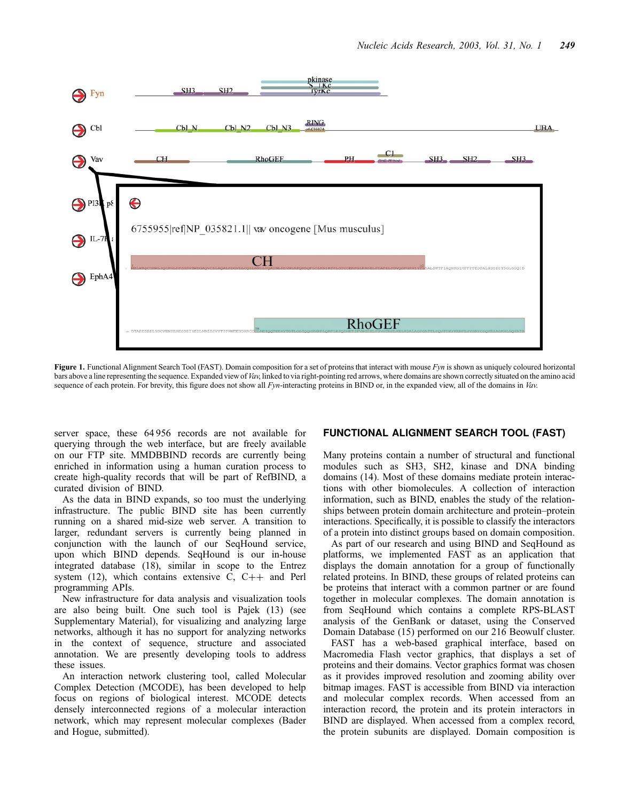

Figure 1. Functional Alignment Search Tool (FAST). Domain composition for a set of proteins that interact with mouse  $Fyn$  is shown as uniquely coloured horizontal bars above a line representing the sequence. Expanded view of Vav, linked to via right-pointing red arrows, where domains are shown correctly situated on the amino acid sequence of each protein. For brevity, this figure does not show all  $Fyn$ -interacting proteins in BIND or, in the expanded view, all of the domains in  $Var$ .

server space, these 64 956 records are not available for querying through the web interface, but are freely available on our FTP site. MMDBBIND records are currently being enriched in information using a human curation process to create high-quality records that will be part of RefBIND, a curated division of BIND.

As the data in BIND expands, so too must the underlying infrastructure. The public BIND site has been currently running on a shared mid-size web server. A transition to larger, redundant servers is currently being planned in conjunction with the launch of our SeqHound service, upon which BIND depends. SeqHound is our in-house integrated database (18), similar in scope to the Entrez system (12), which contains extensive C,  $C_{++}$  and Perl programming APIs.

New infrastructure for data analysis and visualization tools are also being built. One such tool is Pajek (13) (see Supplementary Material), for visualizing and analyzing large networks, although it has no support for analyzing networks in the context of sequence, structure and associated annotation. We are presently developing tools to address these issues.

An interaction network clustering tool, called Molecular Complex Detection (MCODE), has been developed to help focus on regions of biological interest. MCODE detects densely interconnected regions of a molecular interaction network, which may represent molecular complexes (Bader and Hogue, submitted).

#### FUNCTIONAL ALIGNMENT SEARCH TOOL (FAST)

Many proteins contain a number of structural and functional modules such as SH3, SH2, kinase and DNA binding domains (14). Most of these domains mediate protein interactions with other biomolecules. A collection of interaction information, such as BIND, enables the study of the relationships between protein domain architecture and protein–protein interactions. Specifically, it is possible to classify the interactors of a protein into distinct groups based on domain composition.

As part of our research and using BIND and SeqHound as platforms, we implemented FAST as an application that displays the domain annotation for a group of functionally related proteins. In BIND, these groups of related proteins can be proteins that interact with a common partner or are found together in molecular complexes. The domain annotation is from SeqHound which contains a complete RPS-BLAST analysis of the GenBank or dataset, using the Conserved Domain Database (15) performed on our 216 Beowulf cluster.

FAST has a web-based graphical interface, based on Macromedia Flash vector graphics, that displays a set of proteins and their domains. Vector graphics format was chosen as it provides improved resolution and zooming ability over bitmap images. FAST is accessible from BIND via interaction and molecular complex records. When accessed from an interaction record, the protein and its protein interactors in BIND are displayed. When accessed from a complex record, the protein subunits are displayed. Domain composition is